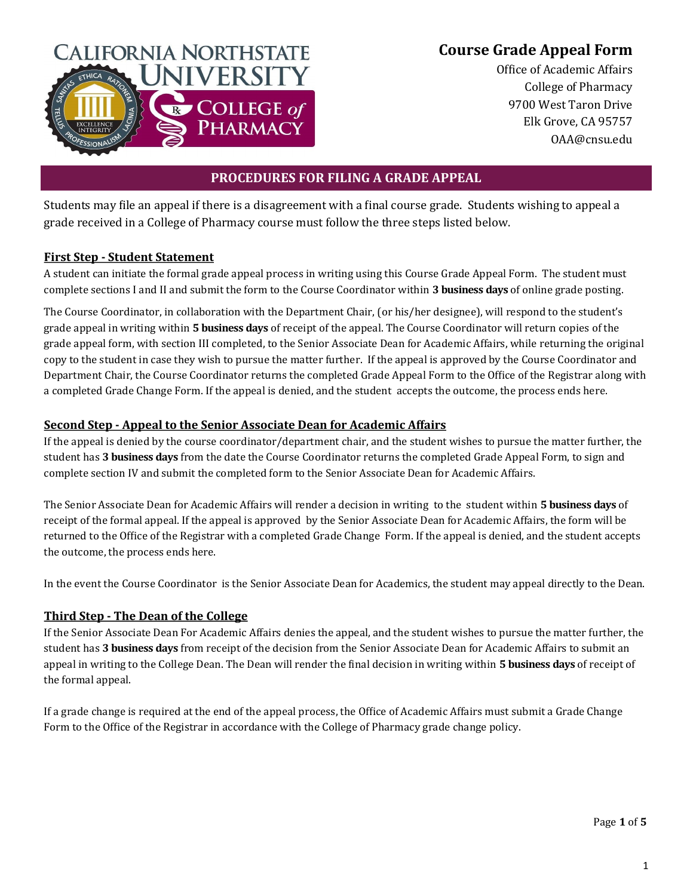# **Course Grade Appeal Form**



Office of Academic Affairs College of Pharmacy 9700 West Taron Drive Elk Grove, CA 95757 OAA@cnsu.edu

## **PROCEDURES FOR FILING A GRADE APPEAL**

Students may file an appeal if there is a disagreement with a final course grade. Students wishing to appeal a grade received in a College of Pharmacy course must follow the three steps listed below.

#### **First Step - Student Statement**

A student can initiate the formal grade appeal process in writing using this Course Grade Appeal Form. The student must complete sections I and II and submit the form to the Course Coordinator within **3 business days** of online grade posting.

The Course Coordinator, in collaboration with the Department Chair, (or his/her designee), will respond to the student's grade appeal in writing within **5 business days** of receipt of the appeal. The Course Coordinator will return copies of the grade appeal form, with section III completed, to the Senior Associate Dean for Academic Affairs, while returning the original copy to the student in case they wish to pursue the matter further. If the appeal is approved by the Course Coordinator and Department Chair, the Course Coordinator returns the completed Grade Appeal Form to the Office of the Registrar along with a completed Grade Change Form. If the appeal is denied, and the student accepts the outcome, the process ends here.

### **Second Step - Appeal to the Senior Associate Dean for Academic Affairs**

If the appeal is denied by the course coordinator/department chair, and the student wishes to pursue the matter further, the student has **3 business days** from the date the Course Coordinator returns the completed Grade Appeal Form, to sign and complete section IV and submit the completed form to the Senior Associate Dean for Academic Affairs.

The Senior Associate Dean for Academic Affairs will render a decision in writing to the student within **5 business days** of receipt of the formal appeal. If the appeal is approved by the Senior Associate Dean for Academic Affairs, the form will be returned to the Office of the Registrar with a completed Grade Change Form. If the appeal is denied, and the student accepts the outcome, the process ends here.

In the event the Course Coordinator is the Senior Associate Dean for Academics, the student may appeal directly to the Dean.

## **Third Step - The Dean of the College**

If the Senior Associate Dean For Academic Affairs denies the appeal, and the student wishes to pursue the matter further, the student has **3 business days** from receipt of the decision from the Senior Associate Dean for Academic Affairs to submit an appeal in writing to the College Dean. The Dean will render the final decision in writing within **5 business days** of receipt of the formal appeal.

If a grade change is required at the end of the appeal process, the Office of Academic Affairs must submit a Grade Change Form to the Office of the Registrar in accordance with the College of Pharmacy grade change policy.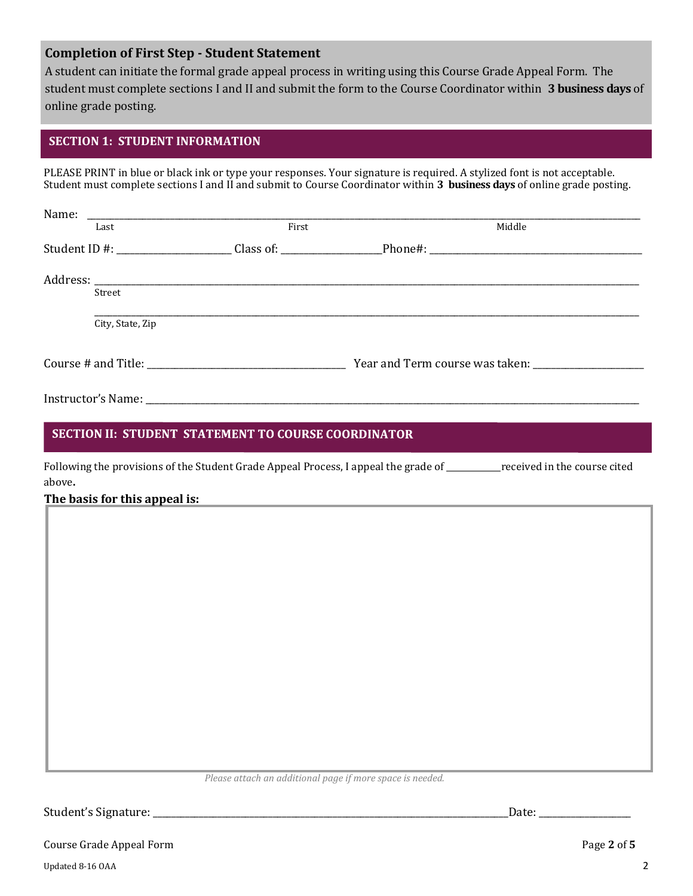### **Completion of First Step - Student Statement**

A student can initiate the formal grade appeal process in writing using this Course Grade Appeal Form. The student must complete sections I and II and submit the form to the Course Coordinator within **3 business days** of online grade posting.

#### **SECTION 1: STUDENT INFORMATION**

PLEASE PRINT in blue or black ink or type your responses. Your signature is required. A stylized font is not acceptable. Student must complete sections I and II and submit to Course Coordinator within **3 business days** of online grade posting.

| Name:            | <u> 2000 - 2000 - 2000 - 2000 - 2000 - 2000 - 2000 - 2000 - 2000 - 2000 - 2000 - 2000 - 2000 - 2000 - 2000 - 200</u> |        |
|------------------|----------------------------------------------------------------------------------------------------------------------|--------|
| Last             | First                                                                                                                | Middle |
|                  | Student ID #: ___________________________Class of: _____________________________                                     |        |
|                  |                                                                                                                      |        |
| Street           |                                                                                                                      |        |
| City, State, Zip |                                                                                                                      |        |
|                  |                                                                                                                      |        |
|                  |                                                                                                                      |        |

#### SECTION II: STUDENT STATEMENT TO COURSE COORDINATOR

Following the provisions of the Student Grade Appeal Process, I appeal the grade of \_\_\_\_\_\_\_\_\_\_\_\_\_received in the course cited above**.**

#### **The basis for this appeal is:**

*Please attach an additional page if more space is needed.*

Student's Signature: \_\_\_\_\_\_\_\_\_\_\_\_\_\_\_\_\_\_\_\_\_\_\_\_\_\_\_\_\_\_\_\_\_\_\_\_\_\_\_\_\_\_\_\_\_\_\_\_\_\_\_\_\_\_\_\_\_\_\_\_\_\_\_\_\_\_\_\_\_\_\_\_\_\_\_\_\_Date: \_\_\_\_\_\_\_\_\_\_\_\_\_\_\_\_\_\_\_\_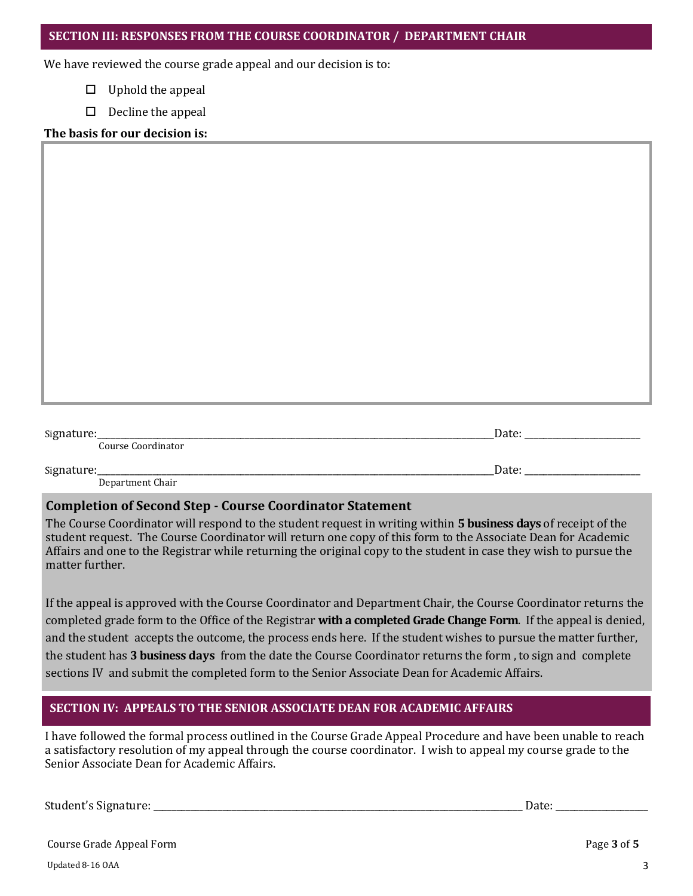We have reviewed the course grade appeal and our decision is to:

 $\Box$  Uphold the appeal

|  | $\Box$ Decline the appeal |  |
|--|---------------------------|--|
|--|---------------------------|--|

#### **The basis for our decision is:**

| Signature:_<br>Course Coordinator | Date: |
|-----------------------------------|-------|
| Signature:_                       | Date: |

Department Chair

## **Completion of Second Step - Course Coordinator Statement**

The Course Coordinator will respond to the student request in writing within **5 business days** of receipt of the student request. The Course Coordinator will return one copy of this form to the Associate Dean for Academic Affairs and one to the Registrar while returning the original copy to the student in case they wish to pursue the matter further.

If the appeal is approved with the Course Coordinator and Department Chair, the Course Coordinator returns the completed grade form to the Office of the Registrar **with a completed Grade Change Form**. If the appeal is denied, and the student accepts the outcome, the process ends here. If the student wishes to pursue the matter further, the student has **3 business days** from the date the Course Coordinator returns the form , to sign and complete sections IV and submit the completed form to the Senior Associate Dean for Academic Affairs.

## **SECTION IV: APPEALS TO THE SENIOR ASSOCIATE DEAN FOR ACADEMIC AFFAIRS**

I have followed the formal process outlined in the Course Grade Appeal Procedure and have been unable to reach a satisfactory resolution of my appeal through the course coordinator. I wish to appeal my course grade to the Senior Associate Dean for Academic Affairs.

Student's Signature: \_\_\_\_\_\_\_\_\_\_\_\_\_\_\_\_\_\_\_\_\_\_\_\_\_\_\_\_\_\_\_\_\_\_\_\_\_\_\_\_\_\_\_\_\_\_\_\_\_\_\_\_\_\_\_\_\_\_\_\_\_\_\_\_\_\_\_\_\_\_\_\_\_\_\_\_\_\_\_\_ Date: \_\_\_\_\_\_\_\_\_\_\_\_\_\_\_\_\_\_\_\_

| Course Grade Appeal Form | Page 3 of 5 |
|--------------------------|-------------|
|--------------------------|-------------|

Updated 8-16 OAA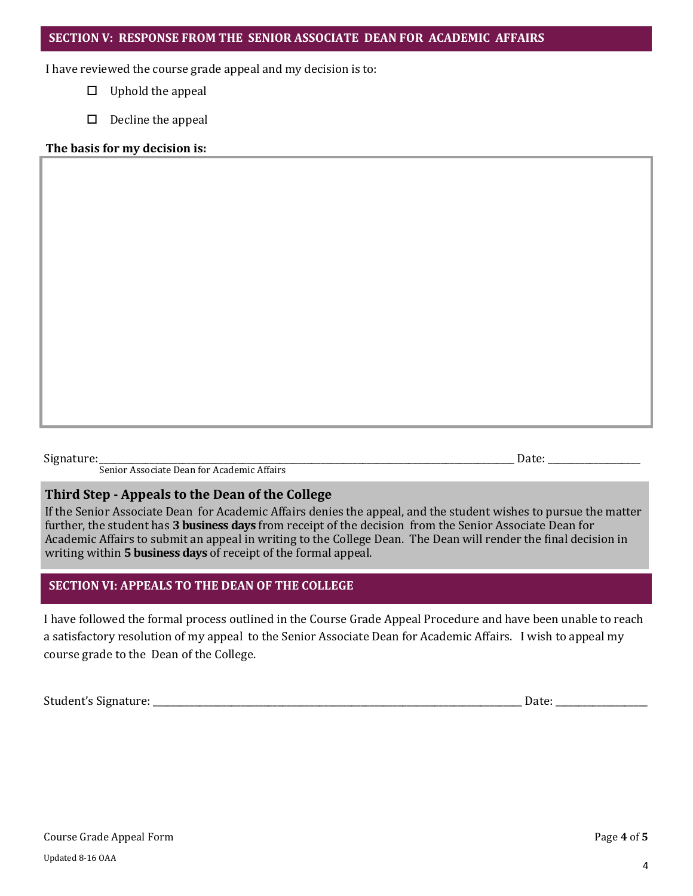I have reviewed the course grade appeal and my decision is to:

- $\Box$  Uphold the appeal
- $\Box$  Decline the appeal

#### **The basis for my decision is:**

Signature:\_\_\_\_\_\_\_\_\_\_\_\_\_\_\_\_\_\_\_\_\_\_\_\_\_\_\_\_\_\_\_\_\_\_\_\_\_\_\_\_\_\_\_\_\_\_\_\_\_\_\_\_\_\_\_\_\_\_\_\_\_\_\_\_\_\_\_\_\_\_\_\_\_\_\_\_\_\_\_\_\_\_\_\_\_\_\_\_\_\_ Date: \_\_\_\_\_\_\_\_\_\_\_\_\_\_\_\_\_\_\_\_ Senior Associate Dean for Academic Affairs

#### **Third Step - Appeals to the Dean of the College**

If the Senior Associate Dean for Academic Affairs denies the appeal, and the student wishes to pursue the matter further, the student has **3 business days** from receipt of the decision from the Senior Associate Dean for Academic Affairs to submit an appeal in writing to the College Dean. The Dean will render the final decision in writing within **5 business days** of receipt of the formal appeal.

#### **SECTION VI: APPEALS TO THE DEAN OF THE COLLEGE**

I have followed the formal process outlined in the Course Grade Appeal Procedure and have been unable to reach a satisfactory resolution of my appeal to the Senior Associate Dean for Academic Affairs. I wish to appeal my course grade to the Dean of the College.

Student's Signature: \_\_\_\_\_\_\_\_\_\_\_\_\_\_\_\_\_\_\_\_\_\_\_\_\_\_\_\_\_\_\_\_\_\_\_\_\_\_\_\_\_\_\_\_\_\_\_\_\_\_\_\_\_\_\_\_\_\_\_\_\_\_\_\_\_\_\_\_\_\_\_\_\_\_\_\_\_\_\_\_ Date: \_\_\_\_\_\_\_\_\_\_\_\_\_\_\_\_\_\_\_\_